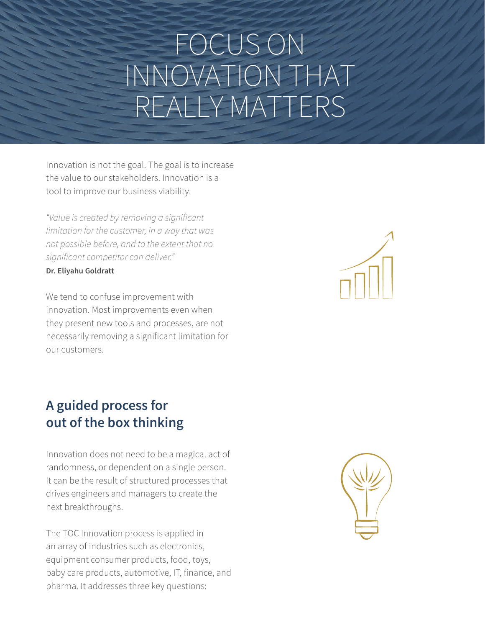# FOCUS ON INNOVATION THAT REALLY MATTERS

Innovation is not the goal. The goal is to increase the value to our stakeholders. Innovation is a tool to improve our business viability.

*"Value is created by removing a significant limitation for the customer, in a way that was not possible before, and to the extent that no significant competitor can deliver."* **Dr. Eliyahu Goldratt**

We tend to confuse improvement with innovation. Most improvements even when they present new tools and processes, are not necessarily removing a significant limitation for our customers.

# **A guided process for out of the box thinking**

Innovation does not need to be a magical act of randomness, or dependent on a single person. It can be the result of structured processes that drives engineers and managers to create the next breakthroughs.

The TOC Innovation process is applied in an array of industries such as electronics, equipment consumer products, food, toys, baby care products, automotive, IT, finance, and pharma. It addresses three key questions:



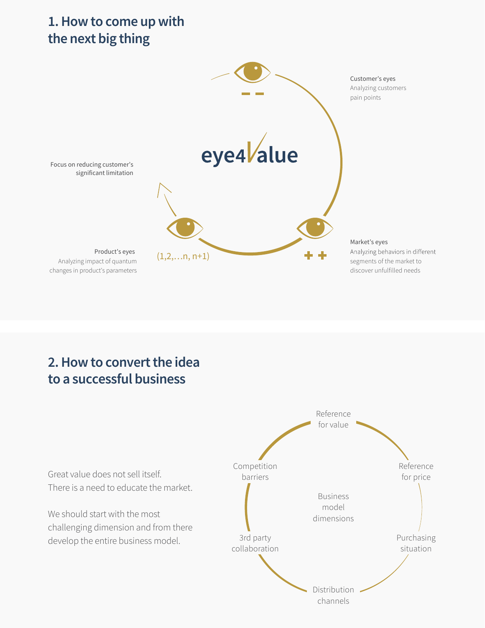## **1.How to come up with the next big thing**



# **2.How to convert the idea to a successful business**

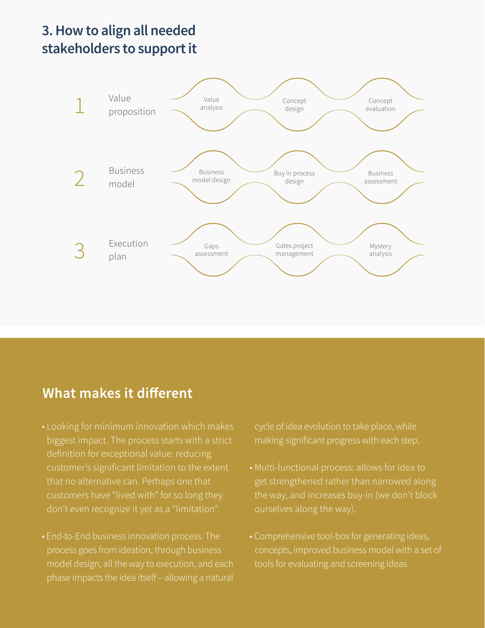## **3. How to align all needed stakeholders to support it**



### What makes it different

- biggest impact. The process starts with a strict definition for exceptional value: reducing customer's significant limitation to the extent that no alternative can. Perhaps one that
- process goes from ideation, through business model design, all the way to execution, and each phase impacts the idea itself – allowing a natural

cycle of idea evolution to take place, while making significant progress with each step.

- get strengthened rather than narrowed along
- Comprehensive tool-box for generating ideas, concepts, improved business model with a set of tools for evaluating and screening ideas.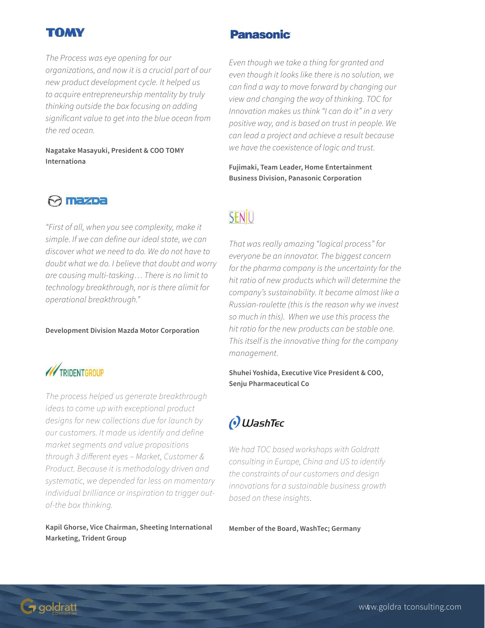#### TOMY

*The Process was eye opening for our organizations, and now it is a crucial part of our new product development cycle. It helped us to acquire entrepreneurship mentality by truly thinking outside the box focusing on adding significant value to get into the blue ocean from the red ocean.* 

**Nagatake Masayuki, President & COO TOMY Internationa**

#### M mazoa

*"First of all, when you see complexity, make it simple. If we can define our ideal state, we can discover what we need to do. We do not have to doubt what we do. I believe that doubt and worry are causing multi-tasking… There is no limit to technology breakthrough, nor is there alimit for operational breakthrough."*

**Development Division Mazda Motor Corporation**



*The process helped us generate breakthrough ideas to come up with exceptional product designs for new collections due for launch by our customers. It made us identify and define market segments and value propositions through 3 different eyes – Market, Customer & Product. Because it is methodology driven and systematic, we depended far less on momentary individual brilliance or inspiration to trigger outof-the box thinking.*

**Kapil Ghorse, Vice Chairman, Sheeting International Marketing, Trident Group**

#### **Panasonic**

*Even though we take a thing for granted and even though it looks like there is no solution, we can find a way to move forward by changing our view and changing the way of thinking. TOC for Innovation makes us think "I can do it" in a very positive way, and is based on trust in people. We can lead a project and achieve a result because we have the coexistence of logic and trust.*

**Fujimaki, Team Leader, Home Entertainment Business Division, Panasonic Corporation**

# SENJU

*That was really amazing "logical process" for everyone be an innovator. The biggest concern for the pharma company is the uncertainty for the hit ratio of new products which will determine the company's sustainability. It became almost like a Russian-roulette (this is the reason why we invest so much in this). When we use this process the hit ratio for the new products can be stable one. This itself is the innovative thing for the company management.*

**Shuhei Yoshida, Executive Vice President & COO, Senju Pharmaceutical Co**



*We had TOC based workshops with Goldratt consulting in Europe, China and US to identify the constraints of our customers and design innovations for a sustainable business growth based on these insights*.

**Member of the Board, WashTec; Germany**